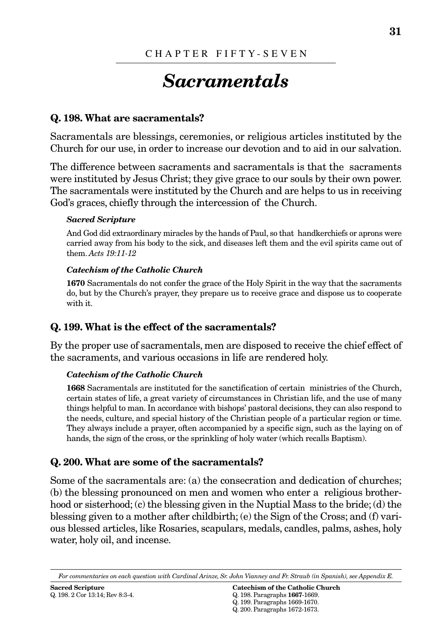# *Sacramentals*

# **Q. 198. What are sacramentals?**

Sacramentals are blessings, ceremonies, or religious articles instituted by the Church for our use, in order to increase our devotion and to aid in our salvation.

The difference between sacraments and sacramentals is that the sacraments were instituted by Jesus Christ; they give grace to our souls by their own power. The sacramentals were instituted by the Church and are helps to us in receiving God's graces, chiefly through the intercession of the Church.

#### *Sacred Scripture*

And God did extraordinary miracles by the hands of Paul, so that handkerchiefs or aprons were carried away from his body to the sick, and diseases left them and the evil spirits came out of them. *Acts 19:11-12*

#### *Catechism of the Catholic Church*

**1670** Sacramentals do not confer the grace of the Holy Spirit in the way that the sacraments do, but by the Church's prayer, they prepare us to receive grace and dispose us to cooperate with it.

# **Q. 199. What is the effect of the sacramentals?**

By the proper use of sacramentals, men are disposed to receive the chief effect of the sacraments, and various occasions in life are rendered holy.

#### *Catechism of the Catholic Church*

**1668** Sacramentals are instituted for the sanctification of certain ministries of the Church, certain states of life, a great variety of circumstances in Christian life, and the use of many things helpful to man. In accordance with bishops' pastoral decisions, they can also respond to the needs, culture, and special history of the Christian people of a particular region or time. They always include a prayer, often accompanied by a specific sign, such as the laying on of hands, the sign of the cross, or the sprinkling of holy water (which recalls Baptism).

## **Q. 200. What are some of the sacramentals?**

Some of the sacramentals are: (a) the consecration and dedication of churches; (b) the blessing pronounced on men and women who enter a religious brotherhood or sisterhood; (c) the blessing given in the Nuptial Mass to the bride; (d) the blessing given to a mother after childbirth; (e) the Sign of the Cross; and (f) various blessed articles, like Rosaries, scapulars, medals, candles, palms, ashes, holy water, holy oil, and incense.

*For commentaries on each question with Cardinal Arinze, Sr. John Vianney and Fr. Straub (in Spanish), see Appendix E.*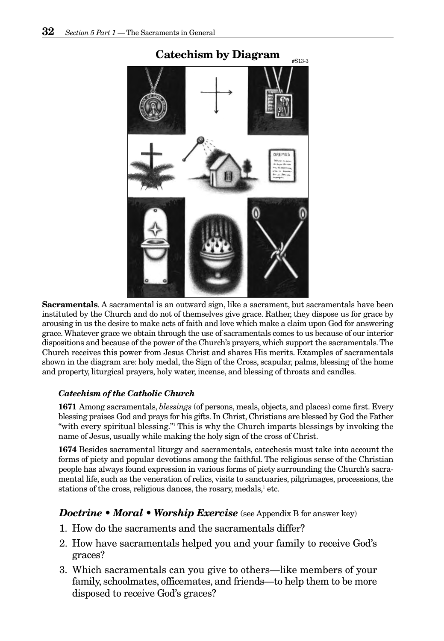

**Sacramentals**. A sacramental is an outward sign, like a sacrament, but sacramentals have been instituted by the Church and do not of themselves give grace. Rather, they dispose us for grace by arousing in us the desire to make acts of faith and love which make a claim upon God for answering grace.Whatever grace we obtain through the use of sacramentals comes to us because of our interior dispositions and because of the power of the Church's prayers, which support the sacramentals.The Church receives this power from Jesus Christ and shares His merits. Examples of sacramentals shown in the diagram are: holy medal, the Sign of the Cross, scapular, palms, blessing of the home and property, liturgical prayers, holy water, incense, and blessing of throats and candles.

#### *Catechism of the Catholic Church*

**1671** Among sacramentals, *blessings* (of persons, meals, objects, and places) come first. Every blessing praises God and prays for his gifts. In Christ, Christians are blessed by God the Father "with every spiritual blessing."1 This is why the Church imparts blessings by invoking the name of Jesus, usually while making the holy sign of the cross of Christ.

**1674** Besides sacramental liturgy and sacramentals, catechesis must take into account the forms of piety and popular devotions among the faithful. The religious sense of the Christian people has always found expression in various forms of piety surrounding the Church's sacramental life, such as the veneration of relics, visits to sanctuaries, pilgrimages, processions, the stations of the cross, religious dances, the rosary, medals, $\frac{1}{2}$  etc.

#### *Doctrine • Moral • Worship Exercise* (see Appendix B for answer key)

- 1. How do the sacraments and the sacramentals differ?
- 2. How have sacramentals helped you and your family to receive God's graces?
- 3. Which sacramentals can you give to others—like members of your family, schoolmates, officemates, and friends—to help them to be more disposed to receive God's graces?